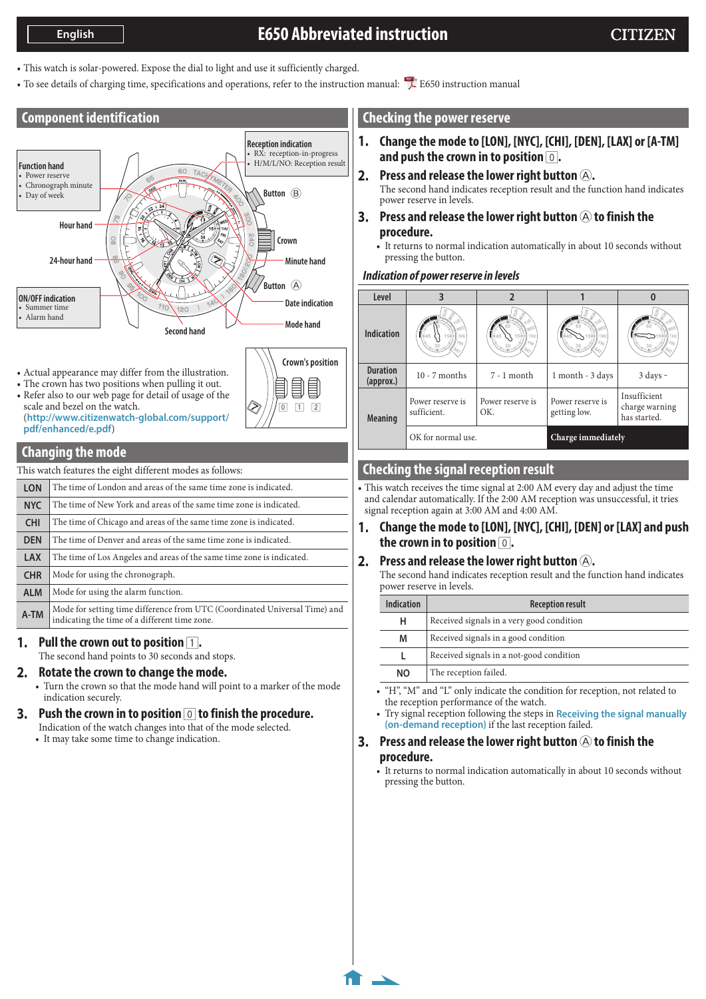# **E650 Abbreviated instruction**

- <span id="page-0-0"></span>• This watch is solar-powered. Expose the dial to light and use it sufficiently charged.
- To see details of charging time, specifications and operations, refer to the instruction manual: **E650** instruction manual

# **Component identification**



- Actual appearance may differ from the illustration.
- The crown has two positions when pulling it out.
- Refer also to our web page for detail of usage of the scale and bezel on the watch. (**http://www.citizenwatch-global.com/support/ pdf/enhanced/e.pdf**)

## **Changing the mode**

This watch features the eight different modes as follows:

| <b>LON</b> | The time of London and areas of the same time zone is indicated.                                                            |
|------------|-----------------------------------------------------------------------------------------------------------------------------|
| <b>NYC</b> | The time of New York and areas of the same time zone is indicated.                                                          |
| <b>CHI</b> | The time of Chicago and areas of the same time zone is indicated.                                                           |
| <b>DEN</b> | The time of Denver and areas of the same time zone is indicated.                                                            |
| <b>LAX</b> | The time of Los Angeles and areas of the same time zone is indicated.                                                       |
| <b>CHR</b> | Mode for using the chronograph.                                                                                             |
| <b>ALM</b> | Mode for using the alarm function.                                                                                          |
| A-TM       | Mode for setting time difference from UTC (Coordinated Universal Time) and<br>indicating the time of a different time zone. |
|            |                                                                                                                             |

#### **1.** Pull the crown out to position  $\boxed{1}$ .

The second hand points to 30 seconds and stops.

### **2. Rotate the crown to change the mode.**

• Turn the crown so that the mode hand will point to a marker of the mode indication securely.

# **3. Push the crown in to position** 0 **to finish the procedure.**

Indication of the watch changes into that of the mode selected.

• It may take some time to change indication.

# **Checking the power reserve**

- **1. Change the mode to [LON], [NYC], [CHI], [DEN], [LAX] or [A-TM] and push the crown in to position** 0**.**
- **2.** Press and release the lower right button  $\widehat{A}$ . The second hand indicates reception result and the function hand indicates power reserve in levels.
- **3.** Press and release the lower right button  $\textcircled{A}$  to finish the **procedure.**
	- It returns to normal indication automatically in about 10 seconds without pressing the button.

# *Indication of power reserve in levels*

| Level                        |                                 |                         |                                  |                                                |
|------------------------------|---------------------------------|-------------------------|----------------------------------|------------------------------------------------|
| <b>Indication</b>            | 54<br>THI                       | THI                     |                                  |                                                |
| <b>Duration</b><br>(approx.) | $10 - 7$ months                 | $7 - 1$ month           | 1 month - 3 days                 | $3$ days $-$                                   |
| <b>Meaning</b>               | Power reserve is<br>sufficient. | Power reserve is<br>OK. | Power reserve is<br>getting low. | Insufficient<br>charge warning<br>has started. |
|                              | OK for normal use.              |                         | Charge immediately               |                                                |

# **Checking the signal reception result**

• This watch receives the time signal at 2:00 AM every day and adjust the time and calendar automatically. If the 2:00 AM reception was unsuccessful, it tries signal reception again at 3:00 AM and 4:00 AM.

**1. Change the mode to [LON], [NYC], [CHI], [DEN] or [LAX] and push the crown in to position** 0**.**

# **2.** Press and release the lower right button  $\textcircled{A}$ .

The second hand indicates reception result and the function hand indicates power reserve in levels.

| Indication | <b>Reception result</b>                   |
|------------|-------------------------------------------|
| н          | Received signals in a very good condition |
| M          | Received signals in a good condition      |
| L          | Received signals in a not-good condition  |
| <b>NO</b>  | The reception failed.                     |

- "H", "M" and "L" only indicate the condition for reception, not related to the reception performance of the watch.
- Try signal reception following the steps in **[Receiving the signal manually](#page-1-0)  [\(on-demand reception\)](#page-1-0)** if the last reception failed.

### **3.** Press and release the lower right button  $\textcircled{A}$  to finish the **procedure.**

• It returns to normal indication automatically in about 10 seconds without pressing the button.



**1/3**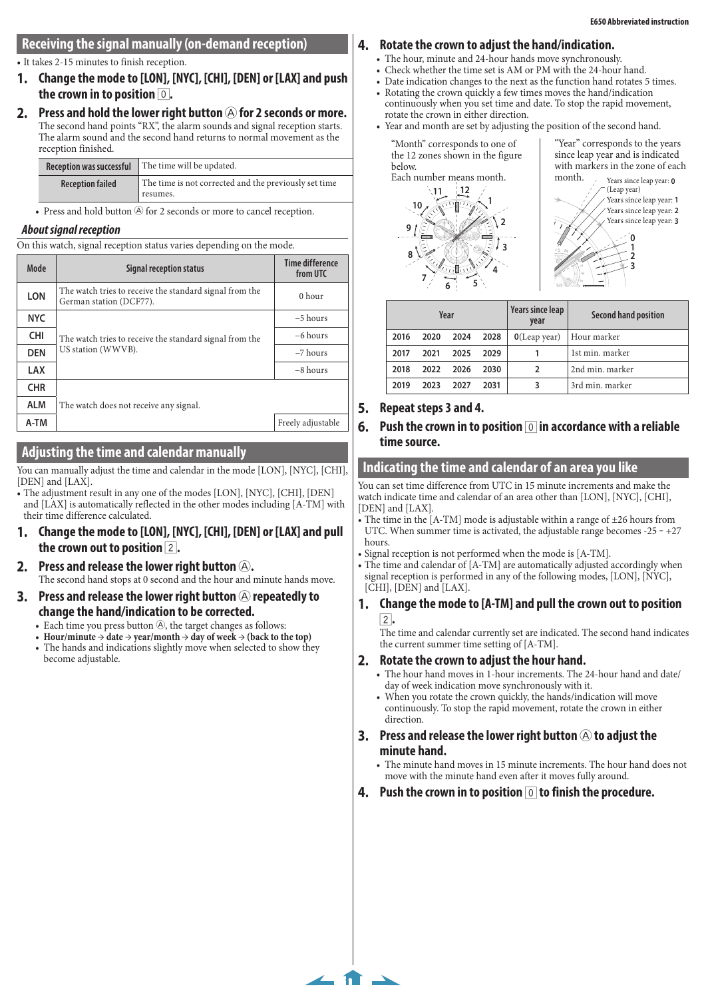# <span id="page-1-0"></span>**Receiving the signal manually (on-demand reception)**

• It takes 2-15 minutes to finish reception.

- **1. Change the mode to [LON], [NYC], [CHI], [DEN] or [LAX] and push the crown in to position** 0**.**
- **2.** Press and hold the lower right button  $\bigcirc$  for 2 seconds or more. The second hand points "RX", the alarm sounds and signal reception starts. The alarm sound and the second hand returns to normal movement as the reception finished.

| <b>Reception was successful</b> | The time will be updated.                                         |
|---------------------------------|-------------------------------------------------------------------|
| <b>Reception failed</b>         | The time is not corrected and the previously set time<br>resumes. |

• Press and hold button  $\circledA$  for 2 seconds or more to cancel reception.

## *About signal reception*

On this watch, signal reception status varies depending on the mode.

| Mode       | Signal reception status                                                            | Time difference<br>from UTC |  |  |  |
|------------|------------------------------------------------------------------------------------|-----------------------------|--|--|--|
| <b>LON</b> | The watch tries to receive the standard signal from the<br>German station (DCF77). | $0$ hour                    |  |  |  |
| <b>NYC</b> |                                                                                    | $-5$ hours                  |  |  |  |
| <b>CHI</b> | The watch tries to receive the standard signal from the                            | $-6$ hours                  |  |  |  |
| <b>DEN</b> | US station (WWVB).                                                                 | $-7$ hours                  |  |  |  |
| <b>LAX</b> |                                                                                    | $-8$ hours                  |  |  |  |
| <b>CHR</b> |                                                                                    |                             |  |  |  |
| <b>ALM</b> | The watch does not receive any signal.                                             |                             |  |  |  |
| A-TM       |                                                                                    | Freely adjustable           |  |  |  |
|            |                                                                                    |                             |  |  |  |

# **Adjusting the time and calendar manually**

You can manually adjust the time and calendar in the mode [LON], [NYC], [CHI], [DEN] and [LAX].

- The adjustment result in any one of the modes [LON], [NYC], [CHI], [DEN] and [LAX] is automatically reflected in the other modes including [A-TM] with their time difference calculated.
- **1. Change the mode to [LON], [NYC], [CHI], [DEN] or [LAX] and pull the crown out to position** 2**.**
- **2. Press and release the lower right button** A**.** The second hand stops at 0 second and the hour and minute hands move.
- **3.** Press and release the lower right button  $\bigcirc$  repeatedly to **change the hand/indication to be corrected.**
	- Each time you press button  $\Theta$ , the target changes as follows:
	- **Hour/minute**  $\rightarrow$  date  $\rightarrow$  year/month  $\rightarrow$  day of week  $\rightarrow$  (back to the top) • The hands and indications slightly move when selected to show they become adjustable.

# **4. Rotate the crown to adjust the hand/indication.**

- The hour, minute and 24-hour hands move synchronously.
- Check whether the time set is AM or PM with the 24-hour hand.
- Date indication changes to the next as the function hand rotates 5 times.
- Rotating the crown quickly a few times moves the hand/indication continuously when you set time and date. To stop the rapid movement,
- rotate the crown in either direction. • Year and month are set by adjusting the position of the second hand.

"Month" corresponds to one of the 12 zones shown in the figure below. Each number means month.



"Year" corresponds to the years since leap year and is indicated with markers in the zone of each month.



| Year |      |      |      | Years since leap<br>year | Second hand position |
|------|------|------|------|--------------------------|----------------------|
| 2016 | 2020 | 2024 | 2028 | $O($ Leap year $)$       | Hour marker          |
| 2017 | 2021 | 2025 | 2029 |                          | 1st min. marker      |
| 2018 | 2022 | 2026 | 2030 |                          | 2nd min. marker      |
| 2019 | 2023 | 2027 | 2031 | 3                        | 3rd min. marker      |

**A LM**

## **5. Repeat steps 3 and 4.**

### **6. Push the crown in to position** 0 **in accordance with a reliable time source.**

### **Indicating the time and calendar of an area you like**

You can set time difference from UTC in 15 minute increments and make the watch indicate time and calendar of an area other than [LON], [NYC], [CHI], [DEN] and [LAX].

- The time in the [A-TM] mode is adjustable within a range of  $\pm 26$  hours from UTC. When summer time is activated, the adjustable range becomes  $-25 - +27$ hours.
- Signal reception is not performed when the mode is [A-TM].
- The time and calendar of [A-TM] are automatically adjusted accordingly when signal reception is performed in any of the following modes, [LON], [NYC],  $[\tilde{CHI}]$ ,  $[\tilde{DEN}]$  and  $[\text{LAX}]$ .
- **1. Change the mode to [A-TM] and pull the crown out to position**  2**.**

The time and calendar currently set are indicated. The second hand indicates the current summer time setting of [A-TM].

### **2. Rotate the crown to adjust the hour hand.**

**[2/3](#page-0-0)**

- The hour hand moves in 1-hour increments. The 24-hour hand and date/ day of week indication move synchronously with it.
- When you rotate the crown quickly, the hands/indication will move continuously. To stop the rapid movement, rotate the crown in either direction.
- **3.** Press and release the lower right button  $\bigcirc$  to adjust the **minute hand.**
	- The minute hand moves in 15 minute increments. The hour hand does not move with the minute hand even after it moves fully around.
- **4. Push the crown in to position** 0 **to finish the procedure.**